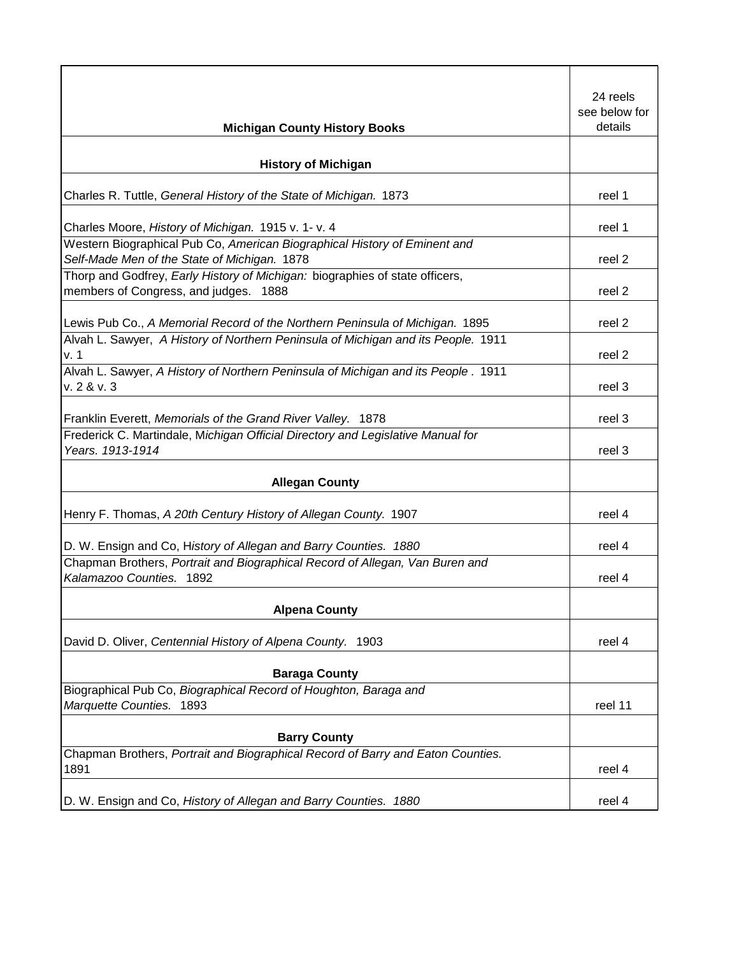|                                                                                   | 24 reels      |
|-----------------------------------------------------------------------------------|---------------|
|                                                                                   | see below for |
| <b>Michigan County History Books</b>                                              | details       |
|                                                                                   |               |
| <b>History of Michigan</b>                                                        |               |
|                                                                                   |               |
| Charles R. Tuttle, General History of the State of Michigan. 1873                 | reel 1        |
| Charles Moore, History of Michigan. 1915 v. 1- v. 4                               | reel 1        |
| Western Biographical Pub Co, American Biographical History of Eminent and         |               |
| Self-Made Men of the State of Michigan. 1878                                      | reel 2        |
| Thorp and Godfrey, Early History of Michigan: biographies of state officers,      |               |
| members of Congress, and judges.<br>1888                                          | reel 2        |
| Lewis Pub Co., A Memorial Record of the Northern Peninsula of Michigan. 1895      | reel 2        |
| Alvah L. Sawyer, A History of Northern Peninsula of Michigan and its People. 1911 |               |
| v. 1                                                                              | reel 2        |
| Alvah L. Sawyer, A History of Northern Peninsula of Michigan and its People. 1911 |               |
| v. 2 & v. 3                                                                       | reel 3        |
| Franklin Everett, Memorials of the Grand River Valley. 1878                       | reel 3        |
| Frederick C. Martindale, Michigan Official Directory and Legislative Manual for   |               |
| Years. 1913-1914                                                                  | reel 3        |
| <b>Allegan County</b>                                                             |               |
|                                                                                   |               |
| Henry F. Thomas, A 20th Century History of Allegan County. 1907                   | reel 4        |
| D. W. Ensign and Co, History of Allegan and Barry Counties. 1880                  | reel 4        |
| Chapman Brothers, Portrait and Biographical Record of Allegan, Van Buren and      |               |
| Kalamazoo Counties. 1892                                                          | reel 4        |
|                                                                                   |               |
| <b>Alpena County</b>                                                              |               |
| David D. Oliver, Centennial History of Alpena County. 1903                        | reel 4        |
|                                                                                   |               |
| <b>Baraga County</b>                                                              |               |
| Biographical Pub Co, Biographical Record of Houghton, Baraga and                  |               |
| Marquette Counties. 1893                                                          | reel 11       |
| <b>Barry County</b>                                                               |               |
| Chapman Brothers, Portrait and Biographical Record of Barry and Eaton Counties.   |               |
| 1891                                                                              | reel 4        |
|                                                                                   |               |
| D. W. Ensign and Co, History of Allegan and Barry Counties. 1880                  | reel 4        |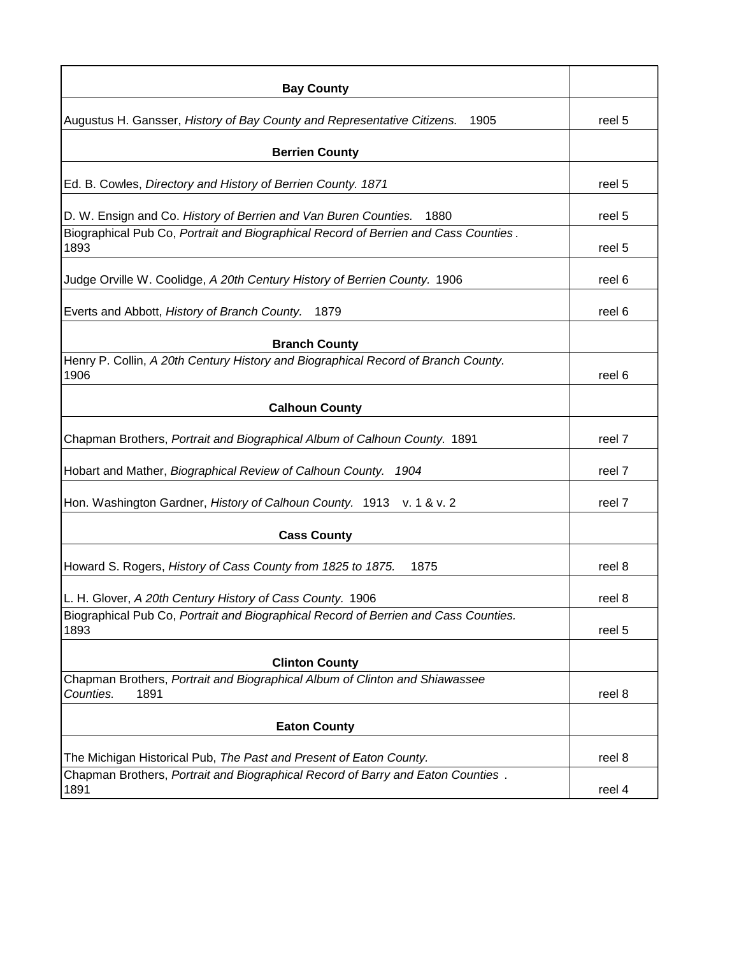| <b>Bay County</b>                                                                                |        |
|--------------------------------------------------------------------------------------------------|--------|
| Augustus H. Gansser, History of Bay County and Representative Citizens.<br>1905                  | reel 5 |
| <b>Berrien County</b>                                                                            |        |
| Ed. B. Cowles, Directory and History of Berrien County. 1871                                     | reel 5 |
| D. W. Ensign and Co. History of Berrien and Van Buren Counties.<br>1880                          | reel 5 |
| Biographical Pub Co, Portrait and Biographical Record of Berrien and Cass Counties.<br>1893      | reel 5 |
| Judge Orville W. Coolidge, A 20th Century History of Berrien County. 1906                        | reel 6 |
| Everts and Abbott, History of Branch County. 1879                                                | reel 6 |
| <b>Branch County</b>                                                                             |        |
| Henry P. Collin, A 20th Century History and Biographical Record of Branch County.<br>1906        | reel 6 |
| <b>Calhoun County</b>                                                                            |        |
| Chapman Brothers, Portrait and Biographical Album of Calhoun County. 1891                        | reel 7 |
| Hobart and Mather, Biographical Review of Calhoun County. 1904                                   | reel 7 |
| Hon. Washington Gardner, History of Calhoun County. 1913 v. 1 & v. 2                             | reel 7 |
| <b>Cass County</b>                                                                               |        |
| Howard S. Rogers, History of Cass County from 1825 to 1875.<br>1875                              | reel 8 |
| L. H. Glover, A 20th Century History of Cass County. 1906                                        | reel 8 |
| Biographical Pub Co, Portrait and Biographical Record of Berrien and Cass Counties.<br>1893      | reel 5 |
| <b>Clinton County</b>                                                                            |        |
| Chapman Brothers, Portrait and Biographical Album of Clinton and Shiawassee<br>Counties.<br>1891 | reel 8 |
| <b>Eaton County</b>                                                                              |        |
| The Michigan Historical Pub, The Past and Present of Eaton County.                               | reel 8 |
| Chapman Brothers, Portrait and Biographical Record of Barry and Eaton Counties.<br>1891          | reel 4 |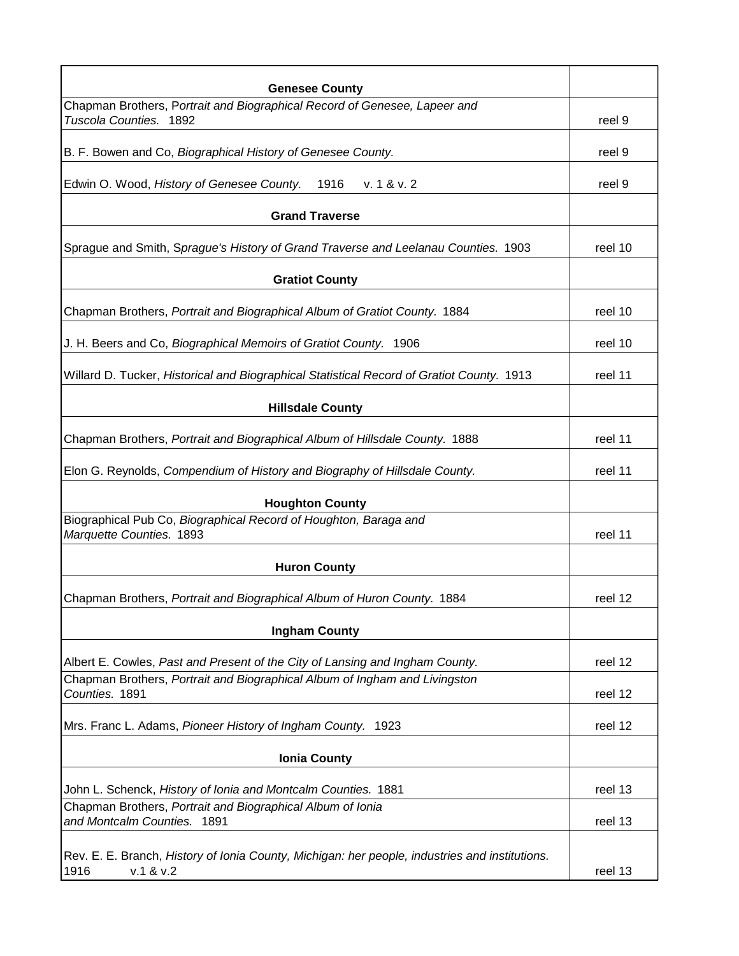| <b>Genesee County</b>                                                                          |         |
|------------------------------------------------------------------------------------------------|---------|
| Chapman Brothers, Portrait and Biographical Record of Genesee, Lapeer and                      |         |
| Tuscola Counties. 1892                                                                         | reel 9  |
| B. F. Bowen and Co, Biographical History of Genesee County.                                    | reel 9  |
| Edwin O. Wood, History of Genesee County. 1916<br>v. 1 & v. 2                                  | reel 9  |
| <b>Grand Traverse</b>                                                                          |         |
| Sprague and Smith, Sprague's History of Grand Traverse and Leelanau Counties. 1903             | reel 10 |
| <b>Gratiot County</b>                                                                          |         |
| Chapman Brothers, Portrait and Biographical Album of Gratiot County. 1884                      | reel 10 |
| J. H. Beers and Co, Biographical Memoirs of Gratiot County. 1906                               | reel 10 |
| Willard D. Tucker, Historical and Biographical Statistical Record of Gratiot County. 1913      | reel 11 |
| <b>Hillsdale County</b>                                                                        |         |
| Chapman Brothers, Portrait and Biographical Album of Hillsdale County. 1888                    | reel 11 |
| Elon G. Reynolds, Compendium of History and Biography of Hillsdale County.                     | reel 11 |
| <b>Houghton County</b>                                                                         |         |
| Biographical Pub Co, Biographical Record of Houghton, Baraga and                               |         |
| Marquette Counties. 1893                                                                       | reel 11 |
| <b>Huron County</b>                                                                            |         |
| Chapman Brothers, Portrait and Biographical Album of Huron County. 1884                        | reel 12 |
| <b>Ingham County</b>                                                                           |         |
| Albert E. Cowles, Past and Present of the City of Lansing and Ingham County.                   | reel 12 |
| Chapman Brothers, Portrait and Biographical Album of Ingham and Livingston<br>Counties. 1891   | reel 12 |
| Mrs. Franc L. Adams, Pioneer History of Ingham County. 1923                                    | reel 12 |
| <b>Ionia County</b>                                                                            |         |
|                                                                                                |         |
| John L. Schenck, History of Ionia and Montcalm Counties. 1881                                  | reel 13 |
| Chapman Brothers, Portrait and Biographical Album of Ionia<br>and Montcalm Counties. 1891      | reel 13 |
| Rev. E. E. Branch, History of Ionia County, Michigan: her people, industries and institutions. |         |
| 1916<br>v.1 & v.2                                                                              | reel 13 |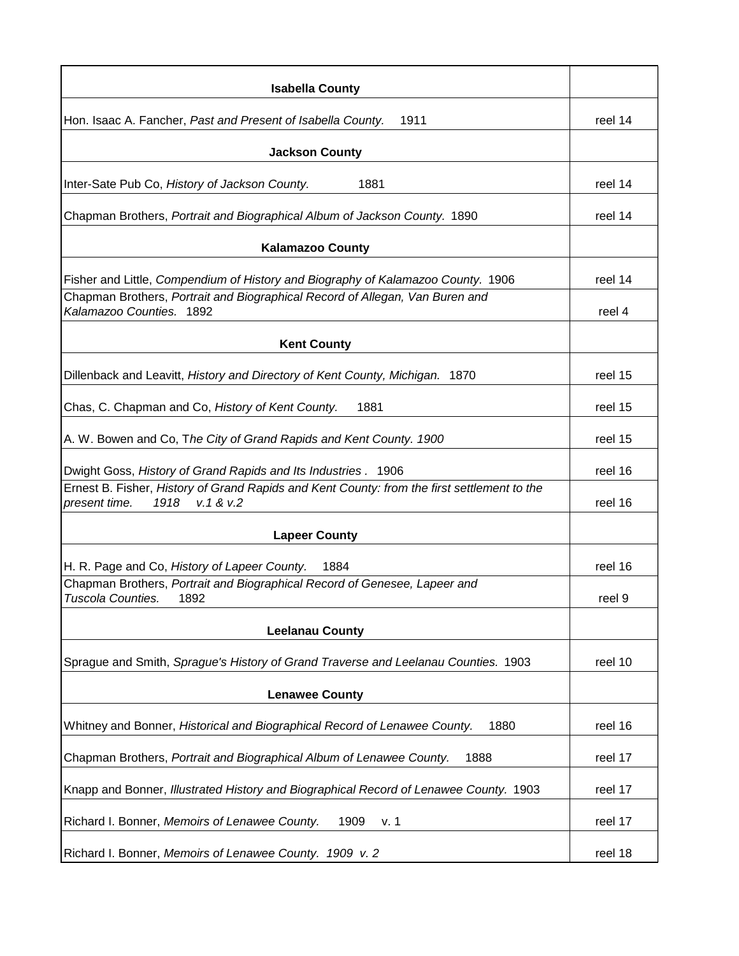| <b>Isabella County</b>                                                                                                             |         |
|------------------------------------------------------------------------------------------------------------------------------------|---------|
| Hon. Isaac A. Fancher, Past and Present of Isabella County.<br>1911                                                                | reel 14 |
| <b>Jackson County</b>                                                                                                              |         |
| Inter-Sate Pub Co, History of Jackson County.<br>1881                                                                              | reel 14 |
| Chapman Brothers, Portrait and Biographical Album of Jackson County. 1890                                                          | reel 14 |
| <b>Kalamazoo County</b>                                                                                                            |         |
| Fisher and Little, Compendium of History and Biography of Kalamazoo County. 1906                                                   | reel 14 |
| Chapman Brothers, Portrait and Biographical Record of Allegan, Van Buren and<br>Kalamazoo Counties. 1892                           | reel 4  |
| <b>Kent County</b>                                                                                                                 |         |
| Dillenback and Leavitt, History and Directory of Kent County, Michigan. 1870                                                       | reel 15 |
| Chas, C. Chapman and Co, History of Kent County.<br>1881                                                                           | reel 15 |
| A. W. Bowen and Co, The City of Grand Rapids and Kent County. 1900                                                                 | reel 15 |
| Dwight Goss, History of Grand Rapids and Its Industries. 1906                                                                      | reel 16 |
| Ernest B. Fisher, History of Grand Rapids and Kent County: from the first settlement to the<br>V.1 & 8V.2<br>1918<br>present time. | reel 16 |
| <b>Lapeer County</b>                                                                                                               |         |
| H. R. Page and Co, History of Lapeer County.<br>1884                                                                               | reel 16 |
| Chapman Brothers, Portrait and Biographical Record of Genesee, Lapeer and<br>Tuscola Counties.<br>1892                             | reel 9  |
| <b>Leelanau County</b>                                                                                                             |         |
| Sprague and Smith, Sprague's History of Grand Traverse and Leelanau Counties. 1903                                                 | reel 10 |
| <b>Lenawee County</b>                                                                                                              |         |
| Whitney and Bonner, Historical and Biographical Record of Lenawee County.<br>1880                                                  | reel 16 |
| Chapman Brothers, Portrait and Biographical Album of Lenawee County.<br>1888                                                       | reel 17 |
| Knapp and Bonner, Illustrated History and Biographical Record of Lenawee County. 1903                                              | reel 17 |
| Richard I. Bonner, Memoirs of Lenawee County.<br>1909<br>v. 1                                                                      | reel 17 |
| Richard I. Bonner, Memoirs of Lenawee County. 1909 v. 2                                                                            | reel 18 |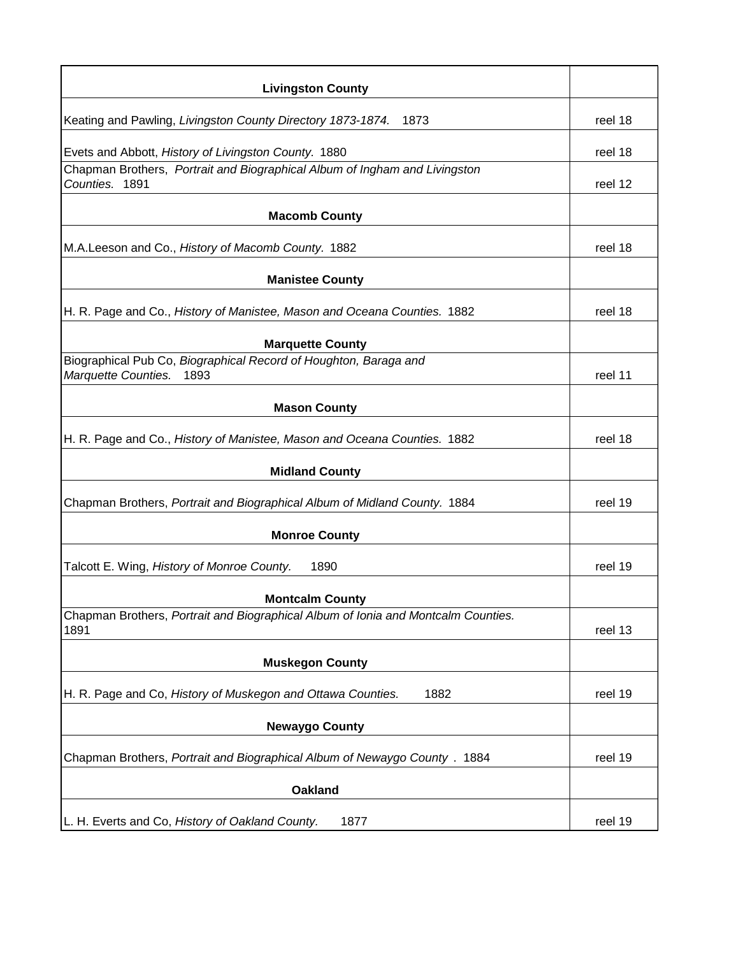| <b>Livingston County</b>                                                                        |         |
|-------------------------------------------------------------------------------------------------|---------|
| Keating and Pawling, Livingston County Directory 1873-1874.<br>1873                             | reel 18 |
| Evets and Abbott, History of Livingston County. 1880                                            | reel 18 |
| Chapman Brothers, Portrait and Biographical Album of Ingham and Livingston<br>Counties. 1891    | reel 12 |
| <b>Macomb County</b>                                                                            |         |
| M.A.Leeson and Co., History of Macomb County. 1882                                              | reel 18 |
| <b>Manistee County</b>                                                                          |         |
| H. R. Page and Co., History of Manistee, Mason and Oceana Counties. 1882                        | reel 18 |
| <b>Marquette County</b>                                                                         |         |
| Biographical Pub Co, Biographical Record of Houghton, Baraga and<br>Marquette Counties.<br>1893 | reel 11 |
| <b>Mason County</b>                                                                             |         |
| H. R. Page and Co., History of Manistee, Mason and Oceana Counties. 1882                        | reel 18 |
| <b>Midland County</b>                                                                           |         |
| Chapman Brothers, Portrait and Biographical Album of Midland County. 1884                       | reel 19 |
| <b>Monroe County</b>                                                                            |         |
| Talcott E. Wing, History of Monroe County.<br>1890                                              | reel 19 |
| <b>Montcalm County</b>                                                                          |         |
| Chapman Brothers, Portrait and Biographical Album of Ionia and Montcalm Counties.<br>1891       | reel 13 |
| <b>Muskegon County</b>                                                                          |         |
| H. R. Page and Co, History of Muskegon and Ottawa Counties.<br>1882                             | reel 19 |
| <b>Newaygo County</b>                                                                           |         |
| Chapman Brothers, Portrait and Biographical Album of Newaygo County . 1884                      | reel 19 |
| <b>Oakland</b>                                                                                  |         |
| L. H. Everts and Co, History of Oakland County.<br>1877                                         | reel 19 |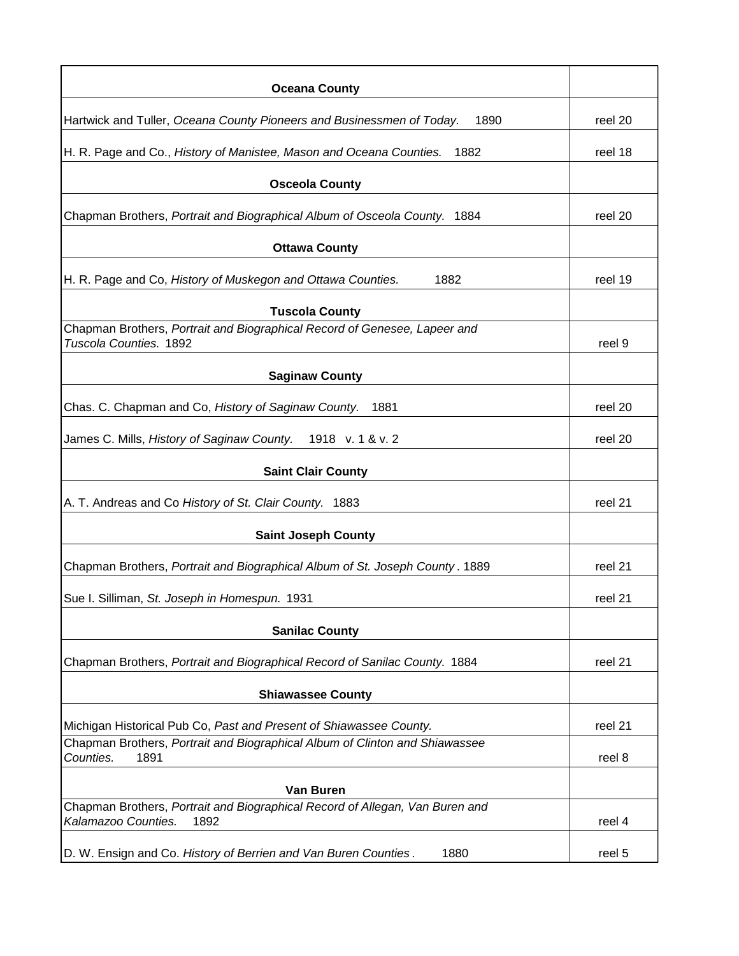| <b>Oceana County</b>                                                                                        |         |
|-------------------------------------------------------------------------------------------------------------|---------|
| Hartwick and Tuller, Oceana County Pioneers and Businessmen of Today.<br>1890                               | reel 20 |
| H. R. Page and Co., History of Manistee, Mason and Oceana Counties.<br>1882                                 | reel 18 |
| <b>Osceola County</b>                                                                                       |         |
| Chapman Brothers, Portrait and Biographical Album of Osceola County. 1884                                   | reel 20 |
| <b>Ottawa County</b>                                                                                        |         |
| H. R. Page and Co, History of Muskegon and Ottawa Counties.<br>1882                                         | reel 19 |
| <b>Tuscola County</b>                                                                                       |         |
| Chapman Brothers, Portrait and Biographical Record of Genesee, Lapeer and<br>Tuscola Counties, 1892         | reel 9  |
| <b>Saginaw County</b>                                                                                       |         |
| Chas. C. Chapman and Co, History of Saginaw County. 1881                                                    | reel 20 |
| James C. Mills, History of Saginaw County. 1918 v. 1 & v. 2                                                 | reel 20 |
| <b>Saint Clair County</b>                                                                                   |         |
| A. T. Andreas and Co History of St. Clair County. 1883                                                      | reel 21 |
| <b>Saint Joseph County</b>                                                                                  |         |
| Chapman Brothers, Portrait and Biographical Album of St. Joseph County. 1889                                | reel 21 |
| Sue I. Silliman, St. Joseph in Homespun. 1931                                                               | reel 21 |
| <b>Sanilac County</b>                                                                                       |         |
| Chapman Brothers, Portrait and Biographical Record of Sanilac County. 1884                                  | reel 21 |
| <b>Shiawassee County</b>                                                                                    |         |
| Michigan Historical Pub Co, Past and Present of Shiawassee County.                                          | reel 21 |
| Chapman Brothers, Portrait and Biographical Album of Clinton and Shiawassee<br>Counties.<br>1891            | reel 8  |
| Van Buren                                                                                                   |         |
| Chapman Brothers, Portrait and Biographical Record of Allegan, Van Buren and<br>Kalamazoo Counties.<br>1892 | reel 4  |
| D. W. Ensign and Co. History of Berrien and Van Buren Counties.<br>1880                                     | reel 5  |